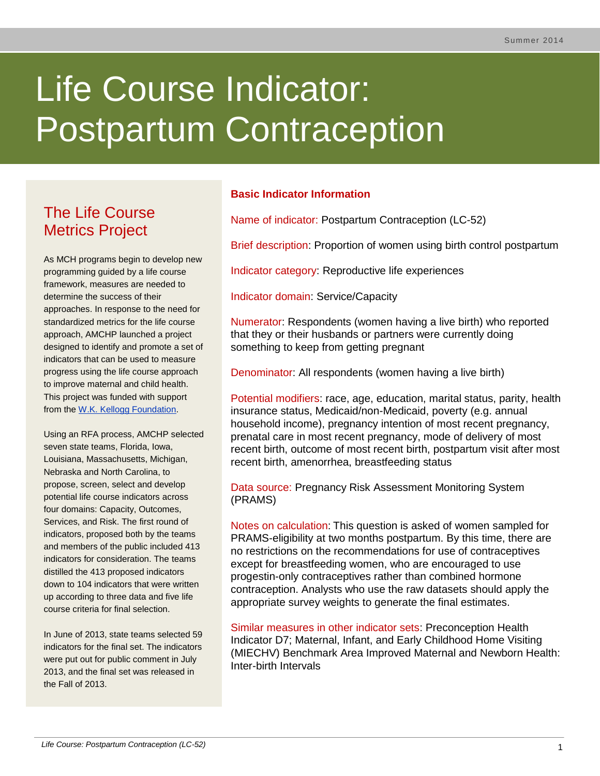# Life Course Indicator: Postpartum Contraception

# The Life Course Metrics Project

As MCH programs begin to develop new programming guided by a life course framework, measures are needed to determine the success of their approaches. In response to the need for standardized metrics for the life course approach, AMCHP launched a project designed to identify and promote a set of indicators that can be used to measure progress using the life course approach to improve maternal and child health. This project was funded with support from the [W.K. Kellogg Foundation.](http://www.wkkf.org/)

Using an RFA process, AMCHP selected seven state teams, Florida, Iowa, Louisiana, Massachusetts, Michigan, Nebraska and North Carolina, to propose, screen, select and develop potential life course indicators across four domains: Capacity, Outcomes, Services, and Risk. The first round of indicators, proposed both by the teams and members of the public included 413 indicators for consideration. The teams distilled the 413 proposed indicators down to 104 indicators that were written up according to three data and five life course criteria for final selection.

In June of 2013, state teams selected 59 indicators for the final set. The indicators were put out for public comment in July 2013, and the final set was released in the Fall of 2013.

# **Basic Indicator Information**

Name of indicator: Postpartum Contraception (LC-52)

Brief description: Proportion of women using birth control postpartum

Indicator category: Reproductive life experiences

Indicator domain: Service/Capacity

Numerator: Respondents (women having a live birth) who reported that they or their husbands or partners were currently doing something to keep from getting pregnant

Denominator: All respondents (women having a live birth)

Potential modifiers: race, age, education, marital status, parity, health insurance status, Medicaid/non-Medicaid, poverty (e.g. annual household income), pregnancy intention of most recent pregnancy, prenatal care in most recent pregnancy, mode of delivery of most recent birth, outcome of most recent birth, postpartum visit after most recent birth, amenorrhea, breastfeeding status

Data source: Pregnancy Risk Assessment Monitoring System (PRAMS)

Notes on calculation: This question is asked of women sampled for PRAMS-eligibility at two months postpartum. By this time, there are no restrictions on the recommendations for use of contraceptives except for breastfeeding women, who are encouraged to use progestin-only contraceptives rather than combined hormone contraception. Analysts who use the raw datasets should apply the appropriate survey weights to generate the final estimates.

Similar measures in other indicator sets: Preconception Health Indicator D7; Maternal, Infant, and Early Childhood Home Visiting (MIECHV) Benchmark Area Improved Maternal and Newborn Health: Inter-birth Intervals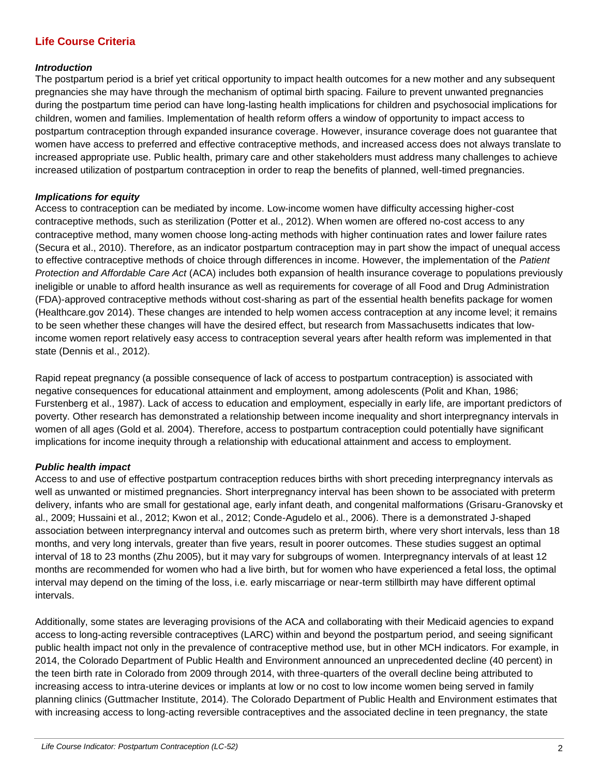# **Life Course Criteria**

# *Introduction*

The postpartum period is a brief yet critical opportunity to impact health outcomes for a new mother and any subsequent pregnancies she may have through the mechanism of optimal birth spacing. Failure to prevent unwanted pregnancies during the postpartum time period can have long-lasting health implications for children and psychosocial implications for children, women and families. Implementation of health reform offers a window of opportunity to impact access to postpartum contraception through expanded insurance coverage. However, insurance coverage does not guarantee that women have access to preferred and effective contraceptive methods, and increased access does not always translate to increased appropriate use. Public health, primary care and other stakeholders must address many challenges to achieve increased utilization of postpartum contraception in order to reap the benefits of planned, well-timed pregnancies.

#### *Implications for equity*

Access to contraception can be mediated by income. Low-income women have difficulty accessing higher-cost contraceptive methods, such as sterilization (Potter et al., 2012). When women are offered no-cost access to any contraceptive method, many women choose long-acting methods with higher continuation rates and lower failure rates (Secura et al., 2010). Therefore, as an indicator postpartum contraception may in part show the impact of unequal access to effective contraceptive methods of choice through differences in income. However, the implementation of the *Patient Protection and Affordable Care Act* (ACA) includes both expansion of health insurance coverage to populations previously ineligible or unable to afford health insurance as well as requirements for coverage of all Food and Drug Administration (FDA)-approved contraceptive methods without cost-sharing as part of the essential health benefits package for women (Healthcare.gov 2014). These changes are intended to help women access contraception at any income level; it remains to be seen whether these changes will have the desired effect, but research from Massachusetts indicates that lowincome women report relatively easy access to contraception several years after health reform was implemented in that state (Dennis et al., 2012).

Rapid repeat pregnancy (a possible consequence of lack of access to postpartum contraception) is associated with negative consequences for educational attainment and employment, among adolescents (Polit and Khan, 1986; Furstenberg et al., 1987). Lack of access to education and employment, especially in early life, are important predictors of poverty. Other research has demonstrated a relationship between income inequality and short interpregnancy intervals in women of all ages (Gold et al. 2004). Therefore, access to postpartum contraception could potentially have significant implications for income inequity through a relationship with educational attainment and access to employment.

# *Public health impact*

Access to and use of effective postpartum contraception reduces births with short preceding interpregnancy intervals as well as unwanted or mistimed pregnancies. Short interpregnancy interval has been shown to be associated with preterm delivery, infants who are small for gestational age, early infant death, and congenital malformations (Grisaru-Granovsky et al., 2009; Hussaini et al., 2012; Kwon et al., 2012; Conde-Agudelo et al., 2006). There is a demonstrated J-shaped association between interpregnancy interval and outcomes such as preterm birth, where very short intervals, less than 18 months, and very long intervals, greater than five years, result in poorer outcomes. These studies suggest an optimal interval of 18 to 23 months (Zhu 2005), but it may vary for subgroups of women. Interpregnancy intervals of at least 12 months are recommended for women who had a live birth, but for women who have experienced a fetal loss, the optimal interval may depend on the timing of the loss, i.e. early miscarriage or near-term stillbirth may have different optimal intervals.

Additionally, some states are leveraging provisions of the ACA and collaborating with their Medicaid agencies to expand access to long-acting reversible contraceptives (LARC) within and beyond the postpartum period, and seeing significant public health impact not only in the prevalence of contraceptive method use, but in other MCH indicators. For example, in 2014, the Colorado Department of Public Health and Environment announced an unprecedented decline (40 percent) in the teen birth rate in Colorado from 2009 through 2014, with three-quarters of the overall decline being attributed to increasing access to intra-uterine devices or implants at low or no cost to low income women being served in family planning clinics (Guttmacher Institute, 2014). The Colorado Department of Public Health and Environment estimates that with increasing access to long-acting reversible contraceptives and the associated decline in teen pregnancy, the state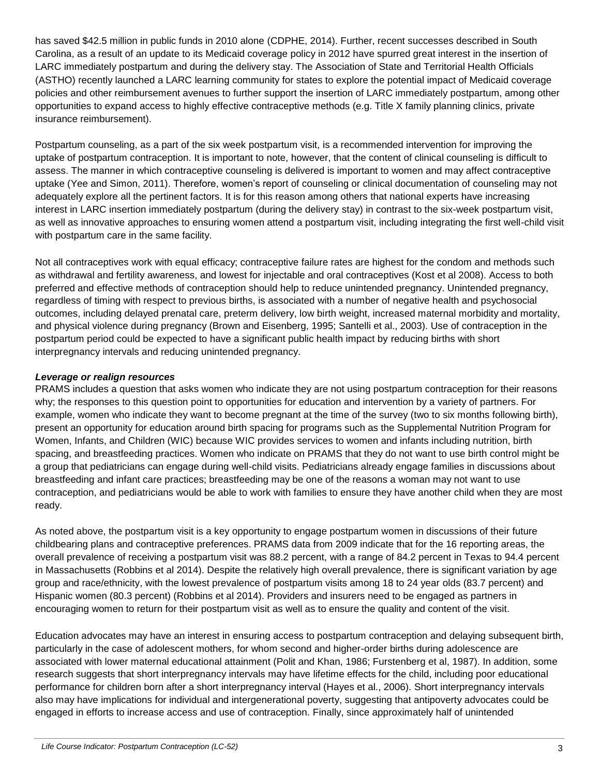has saved \$42.5 million in public funds in 2010 alone (CDPHE, 2014). Further, recent successes described in South Carolina, as a result of an update to its Medicaid coverage policy in 2012 have spurred great interest in the insertion of LARC immediately postpartum and during the delivery stay. The Association of State and Territorial Health Officials (ASTHO) recently launched a LARC learning community for states to explore the potential impact of Medicaid coverage policies and other reimbursement avenues to further support the insertion of LARC immediately postpartum, among other opportunities to expand access to highly effective contraceptive methods (e.g. Title X family planning clinics, private insurance reimbursement).

Postpartum counseling, as a part of the six week postpartum visit, is a recommended intervention for improving the uptake of postpartum contraception. It is important to note, however, that the content of clinical counseling is difficult to assess. The manner in which contraceptive counseling is delivered is important to women and may affect contraceptive uptake (Yee and Simon, 2011). Therefore, women's report of counseling or clinical documentation of counseling may not adequately explore all the pertinent factors. It is for this reason among others that national experts have increasing interest in LARC insertion immediately postpartum (during the delivery stay) in contrast to the six-week postpartum visit, as well as innovative approaches to ensuring women attend a postpartum visit, including integrating the first well-child visit with postpartum care in the same facility.

Not all contraceptives work with equal efficacy; contraceptive failure rates are highest for the condom and methods such as withdrawal and fertility awareness, and lowest for injectable and oral contraceptives (Kost et al 2008). Access to both preferred and effective methods of contraception should help to reduce unintended pregnancy. Unintended pregnancy, regardless of timing with respect to previous births, is associated with a number of negative health and psychosocial outcomes, including delayed prenatal care, preterm delivery, low birth weight, increased maternal morbidity and mortality, and physical violence during pregnancy (Brown and Eisenberg, 1995; Santelli et al., 2003). Use of contraception in the postpartum period could be expected to have a significant public health impact by reducing births with short interpregnancy intervals and reducing unintended pregnancy.

# *Leverage or realign resources*

PRAMS includes a question that asks women who indicate they are not using postpartum contraception for their reasons why; the responses to this question point to opportunities for education and intervention by a variety of partners. For example, women who indicate they want to become pregnant at the time of the survey (two to six months following birth), present an opportunity for education around birth spacing for programs such as the Supplemental Nutrition Program for Women, Infants, and Children (WIC) because WIC provides services to women and infants including nutrition, birth spacing, and breastfeeding practices. Women who indicate on PRAMS that they do not want to use birth control might be a group that pediatricians can engage during well-child visits. Pediatricians already engage families in discussions about breastfeeding and infant care practices; breastfeeding may be one of the reasons a woman may not want to use contraception, and pediatricians would be able to work with families to ensure they have another child when they are most ready.

As noted above, the postpartum visit is a key opportunity to engage postpartum women in discussions of their future childbearing plans and contraceptive preferences. PRAMS data from 2009 indicate that for the 16 reporting areas, the overall prevalence of receiving a postpartum visit was 88.2 percent, with a range of 84.2 percent in Texas to 94.4 percent in Massachusetts (Robbins et al 2014). Despite the relatively high overall prevalence, there is significant variation by age group and race/ethnicity, with the lowest prevalence of postpartum visits among 18 to 24 year olds (83.7 percent) and Hispanic women (80.3 percent) (Robbins et al 2014). Providers and insurers need to be engaged as partners in encouraging women to return for their postpartum visit as well as to ensure the quality and content of the visit.

Education advocates may have an interest in ensuring access to postpartum contraception and delaying subsequent birth, particularly in the case of adolescent mothers, for whom second and higher-order births during adolescence are associated with lower maternal educational attainment (Polit and Khan, 1986; Furstenberg et al, 1987). In addition, some research suggests that short interpregnancy intervals may have lifetime effects for the child, including poor educational performance for children born after a short interpregnancy interval (Hayes et al., 2006). Short interpregnancy intervals also may have implications for individual and intergenerational poverty, suggesting that antipoverty advocates could be engaged in efforts to increase access and use of contraception. Finally, since approximately half of unintended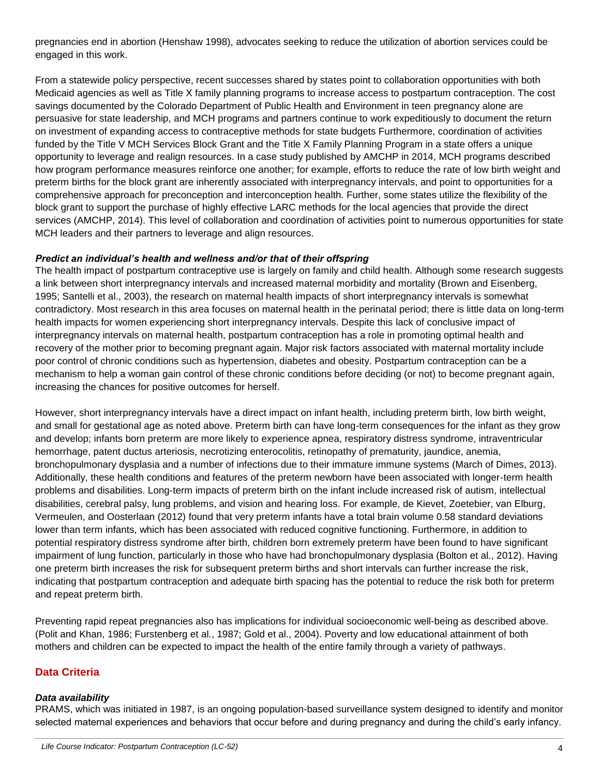pregnancies end in abortion (Henshaw 1998), advocates seeking to reduce the utilization of abortion services could be engaged in this work.

From a statewide policy perspective, recent successes shared by states point to collaboration opportunities with both Medicaid agencies as well as Title X family planning programs to increase access to postpartum contraception. The cost savings documented by the Colorado Department of Public Health and Environment in teen pregnancy alone are persuasive for state leadership, and MCH programs and partners continue to work expeditiously to document the return on investment of expanding access to contraceptive methods for state budgets Furthermore, coordination of activities funded by the Title V MCH Services Block Grant and the Title X Family Planning Program in a state offers a unique opportunity to leverage and realign resources. In a case study published by AMCHP in 2014, MCH programs described how program performance measures reinforce one another; for example, efforts to reduce the rate of low birth weight and preterm births for the block grant are inherently associated with interpregnancy intervals, and point to opportunities for a comprehensive approach for preconception and interconception health. Further, some states utilize the flexibility of the block grant to support the purchase of highly effective LARC methods for the local agencies that provide the direct services (AMCHP, 2014). This level of collaboration and coordination of activities point to numerous opportunities for state MCH leaders and their partners to leverage and align resources.

# *Predict an individual's health and wellness and/or that of their offspring*

The health impact of postpartum contraceptive use is largely on family and child health. Although some research suggests a link between short interpregnancy intervals and increased maternal morbidity and mortality (Brown and Eisenberg, 1995; Santelli et al., 2003), the research on maternal health impacts of short interpregnancy intervals is somewhat contradictory. Most research in this area focuses on maternal health in the perinatal period; there is little data on long-term health impacts for women experiencing short interpregnancy intervals. Despite this lack of conclusive impact of interpregnancy intervals on maternal health, postpartum contraception has a role in promoting optimal health and recovery of the mother prior to becoming pregnant again. Major risk factors associated with maternal mortality include poor control of chronic conditions such as hypertension, diabetes and obesity. Postpartum contraception can be a mechanism to help a woman gain control of these chronic conditions before deciding (or not) to become pregnant again, increasing the chances for positive outcomes for herself.

However, short interpregnancy intervals have a direct impact on infant health, including preterm birth, low birth weight, and small for gestational age as noted above. Preterm birth can have long-term consequences for the infant as they grow and develop; infants born preterm are more likely to experience apnea, respiratory distress syndrome, intraventricular hemorrhage, patent ductus arteriosis, necrotizing enterocolitis, retinopathy of prematurity, jaundice, anemia, bronchopulmonary dysplasia and a number of infections due to their immature immune systems (March of Dimes, 2013). Additionally, these health conditions and features of the preterm newborn have been associated with longer-term health problems and disabilities. Long-term impacts of preterm birth on the infant include increased risk of autism, intellectual disabilities, cerebral palsy, lung problems, and vision and hearing loss. For example, de Kievet, Zoetebier, van Elburg, Vermeulen, and Oosterlaan (2012) found that very preterm infants have a total brain volume 0.58 standard deviations lower than term infants, which has been associated with reduced cognitive functioning. Furthermore, in addition to potential respiratory distress syndrome after birth, children born extremely preterm have been found to have significant impairment of lung function, particularly in those who have had bronchopulmonary dysplasia (Bolton et al., 2012). Having one preterm birth increases the risk for subsequent preterm births and short intervals can further increase the risk, indicating that postpartum contraception and adequate birth spacing has the potential to reduce the risk both for preterm and repeat preterm birth.

Preventing rapid repeat pregnancies also has implications for individual socioeconomic well-being as described above. (Polit and Khan, 1986; Furstenberg et al., 1987; Gold et al., 2004). Poverty and low educational attainment of both mothers and children can be expected to impact the health of the entire family through a variety of pathways.

# **Data Criteria**

# *Data availability*

PRAMS, which was initiated in 1987, is an ongoing population-based surveillance system designed to identify and monitor selected maternal experiences and behaviors that occur before and during pregnancy and during the child's early infancy.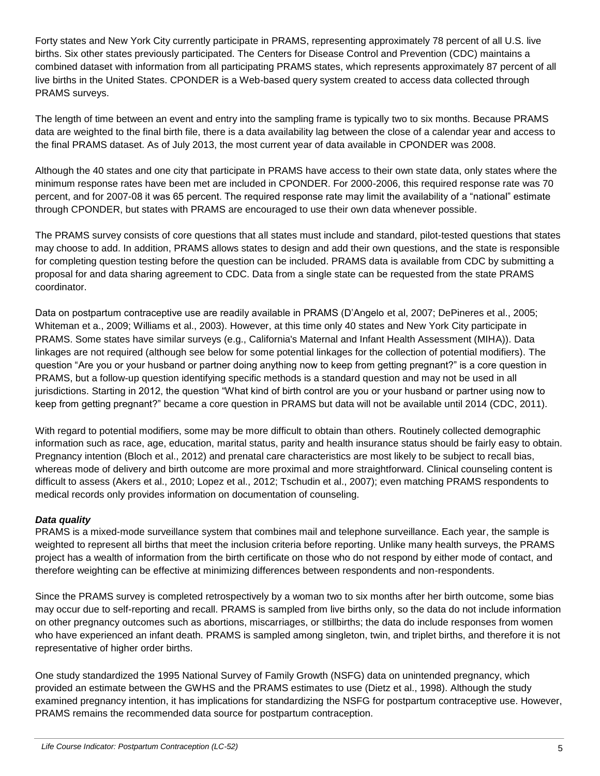Forty states and New York City currently participate in PRAMS, representing approximately 78 percent of all U.S. live births. Six other states previously participated. The Centers for Disease Control and Prevention (CDC) maintains a combined dataset with information from all participating PRAMS states, which represents approximately 87 percent of all live births in the United States. CPONDER is a Web-based query system created to access data collected through PRAMS surveys.

The length of time between an event and entry into the sampling frame is typically two to six months. Because PRAMS data are weighted to the final birth file, there is a data availability lag between the close of a calendar year and access to the final PRAMS dataset. As of July 2013, the most current year of data available in CPONDER was 2008.

Although the 40 states and one city that participate in PRAMS have access to their own state data, only states where the minimum response rates have been met are included in CPONDER. For 2000-2006, this required response rate was 70 percent, and for 2007-08 it was 65 percent. The required response rate may limit the availability of a "national" estimate through CPONDER, but states with PRAMS are encouraged to use their own data whenever possible.

The PRAMS survey consists of core questions that all states must include and standard, pilot-tested questions that states may choose to add. In addition, PRAMS allows states to design and add their own questions, and the state is responsible for completing question testing before the question can be included. PRAMS data is available from CDC by submitting a proposal for and data sharing agreement to CDC. Data from a single state can be requested from the state PRAMS coordinator.

Data on postpartum contraceptive use are readily available in PRAMS (D'Angelo et al, 2007; DePineres et al., 2005; Whiteman et a., 2009; Williams et al., 2003). However, at this time only 40 states and New York City participate in PRAMS. Some states have similar surveys (e.g., California's Maternal and Infant Health Assessment (MIHA)). Data linkages are not required (although see below for some potential linkages for the collection of potential modifiers). The question "Are you or your husband or partner doing anything now to keep from getting pregnant?" is a core question in PRAMS, but a follow-up question identifying specific methods is a standard question and may not be used in all jurisdictions. Starting in 2012, the question "What kind of birth control are you or your husband or partner using now to keep from getting pregnant?" became a core question in PRAMS but data will not be available until 2014 (CDC, 2011).

With regard to potential modifiers, some may be more difficult to obtain than others. Routinely collected demographic information such as race, age, education, marital status, parity and health insurance status should be fairly easy to obtain. Pregnancy intention (Bloch et al., 2012) and prenatal care characteristics are most likely to be subject to recall bias, whereas mode of delivery and birth outcome are more proximal and more straightforward. Clinical counseling content is difficult to assess (Akers et al., 2010; Lopez et al., 2012; Tschudin et al., 2007); even matching PRAMS respondents to medical records only provides information on documentation of counseling.

# *Data quality*

PRAMS is a mixed-mode surveillance system that combines mail and telephone surveillance. Each year, the sample is weighted to represent all births that meet the inclusion criteria before reporting. Unlike many health surveys, the PRAMS project has a wealth of information from the birth certificate on those who do not respond by either mode of contact, and therefore weighting can be effective at minimizing differences between respondents and non-respondents.

Since the PRAMS survey is completed retrospectively by a woman two to six months after her birth outcome, some bias may occur due to self-reporting and recall. PRAMS is sampled from live births only, so the data do not include information on other pregnancy outcomes such as abortions, miscarriages, or stillbirths; the data do include responses from women who have experienced an infant death. PRAMS is sampled among singleton, twin, and triplet births, and therefore it is not representative of higher order births.

One study standardized the 1995 National Survey of Family Growth (NSFG) data on unintended pregnancy, which provided an estimate between the GWHS and the PRAMS estimates to use (Dietz et al., 1998). Although the study examined pregnancy intention, it has implications for standardizing the NSFG for postpartum contraceptive use. However, PRAMS remains the recommended data source for postpartum contraception.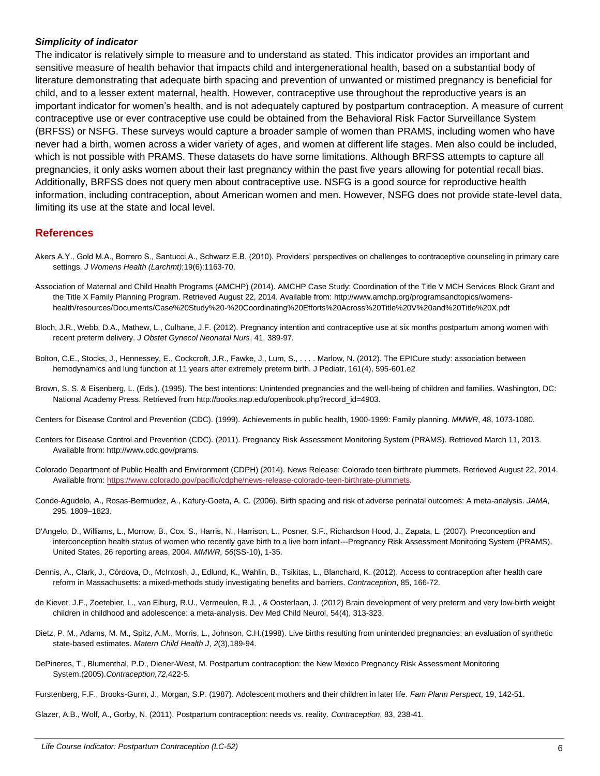#### *Simplicity of indicator*

The indicator is relatively simple to measure and to understand as stated. This indicator provides an important and sensitive measure of health behavior that impacts child and intergenerational health, based on a substantial body of literature demonstrating that adequate birth spacing and prevention of unwanted or mistimed pregnancy is beneficial for child, and to a lesser extent maternal, health. However, contraceptive use throughout the reproductive years is an important indicator for women's health, and is not adequately captured by postpartum contraception. A measure of current contraceptive use or ever contraceptive use could be obtained from the Behavioral Risk Factor Surveillance System (BRFSS) or NSFG. These surveys would capture a broader sample of women than PRAMS, including women who have never had a birth, women across a wider variety of ages, and women at different life stages. Men also could be included, which is not possible with PRAMS. These datasets do have some limitations. Although BRFSS attempts to capture all pregnancies, it only asks women about their last pregnancy within the past five years allowing for potential recall bias. Additionally, BRFSS does not query men about contraceptive use. NSFG is a good source for reproductive health information, including contraception, about American women and men. However, NSFG does not provide state-level data, limiting its use at the state and local level.

# **References**

- Akers A.Y., Gold M.A., Borrero S., Santucci A., Schwarz E.B. (2010). Providers' perspectives on challenges to contraceptive counseling in primary care settings. *J Womens Health (Larchmt)*;19(6):1163-70.
- Association of Maternal and Child Health Programs (AMCHP) (2014). AMCHP Case Study: Coordination of the Title V MCH Services Block Grant and the Title X Family Planning Program. Retrieved August 22, 2014. Available from: http://www.amchp.org/programsandtopics/womenshealth/resources/Documents/Case%20Study%20-%20Coordinating%20Efforts%20Across%20Title%20V%20and%20Title%20X.pdf
- Bloch, J.R., Webb, D.A., Mathew, L., Culhane, J.F. (2012). Pregnancy intention and contraceptive use at six months postpartum among women with recent preterm delivery. *J Obstet Gynecol Neonatal Nurs*, 41, 389-97.
- Bolton, C.E., Stocks, J., Hennessey, E., Cockcroft, J.R., Fawke, J., Lum, S., . . . . Marlow, N. (2012). The EPICure study: association between hemodynamics and lung function at 11 years after extremely preterm birth. J Pediatr, 161(4), 595-601.e2
- Brown, S. S. & Eisenberg, L. (Eds.). (1995). The best intentions: Unintended pregnancies and the well-being of children and families. Washington, DC: National Academy Press. Retrieved from http://books.nap.edu/openbook.php?record\_id=4903.

Centers for Disease Control and Prevention (CDC). (1999). Achievements in public health, 1900-1999: Family planning. *MMWR*, 48, 1073-1080.

- Centers for Disease Control and Prevention (CDC). (2011). Pregnancy Risk Assessment Monitoring System (PRAMS). Retrieved March 11, 2013. Available from: http://www.cdc.gov/prams.
- Colorado Department of Public Health and Environment (CDPH) (2014). News Release: Colorado teen birthrate plummets. Retrieved August 22, 2014. Available from[: https://www.colorado.gov/pacific/cdphe/news-release-colorado-teen-birthrate-plummets.](https://www.colorado.gov/pacific/cdphe/news-release-colorado-teen-birthrate-plummets)
- Conde-Agudelo, A., Rosas-Bermudez, A., Kafury-Goeta, A. C. (2006). Birth spacing and risk of adverse perinatal outcomes: A meta-analysis. *JAMA*, 295, 1809–1823.
- D'Angelo, D., Williams, L., Morrow, B., Cox, S., Harris, N., Harrison, L., Posner, S.F., Richardson Hood, J., Zapata, L. (2007). Preconception and interconception health status of women who recently gave birth to a live born infant---Pregnancy Risk Assessment Monitoring System (PRAMS), United States, 26 reporting areas, 2004. *MMWR, 56*(SS-10), 1-35.
- Dennis, A., Clark, J., Córdova, D., McIntosh, J., Edlund, K., Wahlin, B., Tsikitas, L., Blanchard, K. (2012). Access to contraception after health care reform in Massachusetts: a mixed-methods study investigating benefits and barriers. *Contraception*, 85, 166-72.
- de Kievet, J.F., Zoetebier, L., van Elburg, R.U., Vermeulen, R.J. , & Oosterlaan, J. (2012) Brain development of very preterm and very low-birth weight children in childhood and adolescence: a meta-analysis. Dev Med Child Neurol, 54(4), 313-323.
- Dietz, P. M., Adams, M. M., Spitz, A.M., Morris, L., Johnson, C.H.(1998). Live births resulting from unintended pregnancies: an evaluation of synthetic state-based estimates. *Matern Child Health J*, *2*(3),189-94.
- DePineres, T., Blumenthal, P.D., Diener-West, M. Postpartum contraception: the New Mexico Pregnancy Risk Assessment Monitoring System.(2005).*Contraception,72*,422-5.

Furstenberg, F.F., Brooks-Gunn, J., Morgan, S.P. (1987). Adolescent mothers and their children in later life. *Fam Plann Perspect*, 19, 142-51.

Glazer, A.B., Wolf, A., Gorby, N. (2011). Postpartum contraception: needs vs. reality. *Contraception*, 83, 238-41.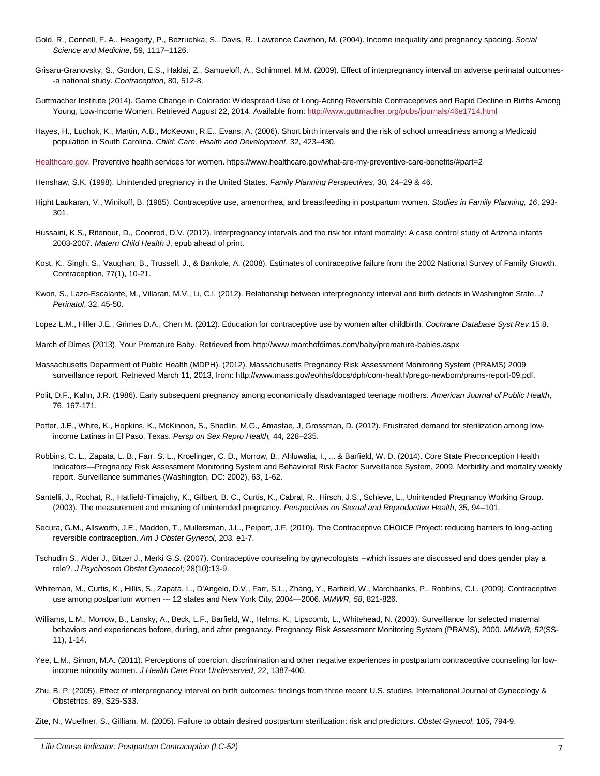- Gold, R., Connell, F. A., Heagerty, P., Bezruchka, S., Davis, R., Lawrence Cawthon, M. (2004). Income inequality and pregnancy spacing. *Social Science and Medicine*, 59, 1117–1126.
- Grisaru-Granovsky, S., Gordon, E.S., Haklai, Z., Samueloff, A., Schimmel, M.M. (2009). Effect of interpregnancy interval on adverse perinatal outcomes- -a national study. *Contraception*, 80, 512-8.
- Guttmacher Institute (2014). Game Change in Colorado: Widespread Use of Long-Acting Reversible Contraceptives and Rapid Decline in Births Among Young, Low-Income Women. Retrieved August 22, 2014. Available from[: http://www.guttmacher.org/pubs/journals/46e1714.html](http://www.guttmacher.org/pubs/journals/46e1714.html)
- Hayes, H., Luchok, K., Martin, A.B., McKeown, R.E., Evans, A. (2006). Short birth intervals and the risk of school unreadiness among a Medicaid population in South Carolina. *Child: Care, Health and Development*, 32, 423–430.

[Healthcare.gov.](file:///C:/Users/lgoodwin/AppData/Local/Microsoft/Windows/Temporary%20Internet%20Files/Content.Outlook/MNP5RQIR/Healthcare.gov) Preventive health services for women. https://www.healthcare.gov/what-are-my-preventive-care-benefits/#part=2

- Henshaw, S.K. (1998). Unintended pregnancy in the United States. *Family Planning Perspectives*, 30, 24–29 & 46.
- Hight Laukaran, V., Winikoff, B. (1985). Contraceptive use, amenorrhea, and breastfeeding in postpartum women. *Studies in Family Planning, 16*, 293- 301.
- Hussaini, K.S., Ritenour, D., Coonrod, D.V. (2012). Interpregnancy intervals and the risk for infant mortality: A case control study of Arizona infants 2003-2007. *Matern Child Health J*, epub ahead of print.
- Kost, K., Singh, S., Vaughan, B., Trussell, J., & Bankole, A. (2008). Estimates of contraceptive failure from the 2002 National Survey of Family Growth. Contraception, 77(1), 10-21.
- Kwon, S., Lazo-Escalante, M., Villaran, M.V., Li, C.I. (2012). Relationship between interpregnancy interval and birth defects in Washington State. *J Perinatol*, 32, 45-50.
- Lopez L.M., Hiller J.E., Grimes D.A., Chen M. (2012). Education for contraceptive use by women after childbirth. *Cochrane Database Syst Rev*.15:8.
- March of Dimes (2013). Your Premature Baby. Retrieved from http://www.marchofdimes.com/baby/premature-babies.aspx
- Massachusetts Department of Public Health (MDPH). (2012). Massachusetts Pregnancy Risk Assessment Monitoring System (PRAMS) 2009 surveillance report. Retrieved March 11, 2013, from: http://www.mass.gov/eohhs/docs/dph/com-health/prego-newborn/prams-report-09.pdf.
- Polit, D.F., Kahn, J.R. (1986). Early subsequent pregnancy among economically disadvantaged teenage mothers. *American Journal of Public Health*, 76, 167-171.
- Potter, J.E., White, K., Hopkins, K., McKinnon, S., Shedlin, M.G., Amastae, J, Grossman, D. (2012). Frustrated demand for sterilization among lowincome Latinas in El Paso, Texas. *Persp on Sex Repro Health,* 44, 228–235.
- Robbins, C. L., Zapata, L. B., Farr, S. L., Kroelinger, C. D., Morrow, B., Ahluwalia, I., ... & Barfield, W. D. (2014). Core State Preconception Health Indicators—Pregnancy Risk Assessment Monitoring System and Behavioral Risk Factor Surveillance System, 2009. Morbidity and mortality weekly report. Surveillance summaries (Washington, DC: 2002), 63, 1-62.
- Santelli, J., Rochat, R., Hatfield-Timajchy, K., Gilbert, B. C., Curtis, K., Cabral, R., Hirsch, J.S., Schieve, L., Unintended Pregnancy Working Group. (2003). The measurement and meaning of unintended pregnancy. *Perspectives on Sexual and Reproductive Health*, 35, 94–101.
- Secura, G.M., Allsworth, J.E., Madden, T., Mullersman, J.L., Peipert, J.F. (2010). The Contraceptive CHOICE Project: reducing barriers to long-acting reversible contraception. *Am J Obstet Gynecol*, 203, e1-7.
- Tschudin S., Alder J., Bitzer J., Merki G.S. (2007). Contraceptive counseling by gynecologists --which issues are discussed and does gender play a role?. *J Psychosom Obstet Gynaecol*; 28(10):13-9.
- Whiteman, M., Curtis, K., Hillis, S., Zapata, L., D'Angelo, D.V., Farr, S.L., Zhang, Y., Barfield, W., Marchbanks, P., Robbins, C.L. (2009). Contraceptive use among postpartum women --- 12 states and New York City, 2004—2006. *MMWR, 58*, 821-826.
- Williams, L.M., Morrow, B., Lansky, A., Beck, L.F., Barfield, W., Helms, K., Lipscomb, L., Whitehead, N. (2003). Surveillance for selected maternal behaviors and experiences before, during, and after pregnancy. Pregnancy Risk Assessment Monitoring System (PRAMS), 2000. *MMWR, 52*(SS-11), 1-14.
- Yee, L.M., Simon, M.A. (2011). Perceptions of coercion, discrimination and other negative experiences in postpartum contraceptive counseling for lowincome minority women. *J Health Care Poor Underserved*, 22, 1387-400.
- Zhu, B. P. (2005). Effect of interpregnancy interval on birth outcomes: findings from three recent U.S. studies. International Journal of Gynecology & Obstetrics, 89, S25-S33.

Zite, N., Wuellner, S., Gilliam, M. (2005). Failure to obtain desired postpartum sterilization: risk and predictors. *Obstet Gynecol*, 105, 794-9.